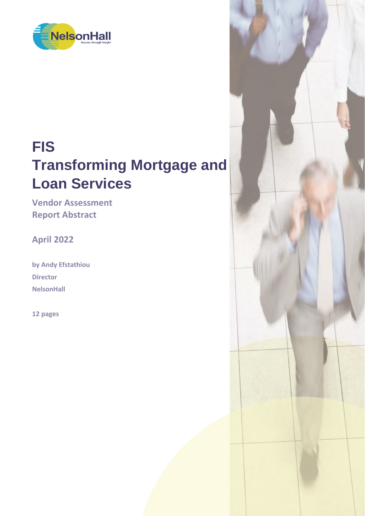

# **FIS Transforming Mortgage and Loan Services**

**Vendor Assessment Report Abstract**

**April 2022**

**by Andy Efstathiou Director NelsonHall**

**12 pages**

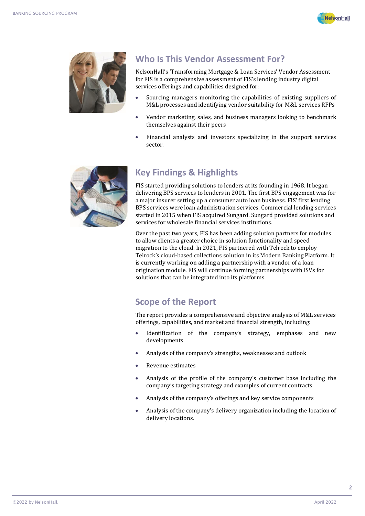



### **Who Is This Vendor Assessment For?**

NelsonHall's 'Transforming Mortgage & Loan Services' Vendor Assessment for FIS is a comprehensive assessment of FIS's lending industry digital services offerings and capabilities designed for:

- Sourcing managers monitoring the capabilities of existing suppliers of M&L processes and identifying vendor suitability for M&L services RFPs
- Vendor marketing, sales, and business managers looking to benchmark themselves against their peers
- Financial analysts and investors specializing in the support services sector.



# **Key Findings & Highlights**

FIS started providing solutions to lenders at its founding in 1968. It began delivering BPS services to lenders in 2001. The first BPS engagement was for a major insurer setting up a consumer auto loan business. FIS' first lending BPS services were loan administration services. Commercial lending services started in 2015 when FIS acquired Sungard. Sungard provided solutions and services for wholesale financial services institutions.

Over the past two years, FIS has been adding solution partners for modules to allow clients a greater choice in solution functionality and speed migration to the cloud. In 2021, FIS partnered with Telrock to employ Telrock's cloud-based collections solution in its Modern Banking Platform. It is currently working on adding a partnership with a vendor of a loan origination module. FIS will continue forming partnerships with ISVs for solutions that can be integrated into its platforms.

## **Scope of the Report**

The report provides a comprehensive and objective analysis of M&L services offerings, capabilities, and market and financial strength, including:

- Identification of the company's strategy, emphases and new developments
- Analysis of the company's strengths, weaknesses and outlook
- Revenue estimates
- Analysis of the profile of the company's customer base including the company's targeting strategy and examples of current contracts
- Analysis of the company's offerings and key service components
- Analysis of the company's delivery organization including the location of delivery locations.